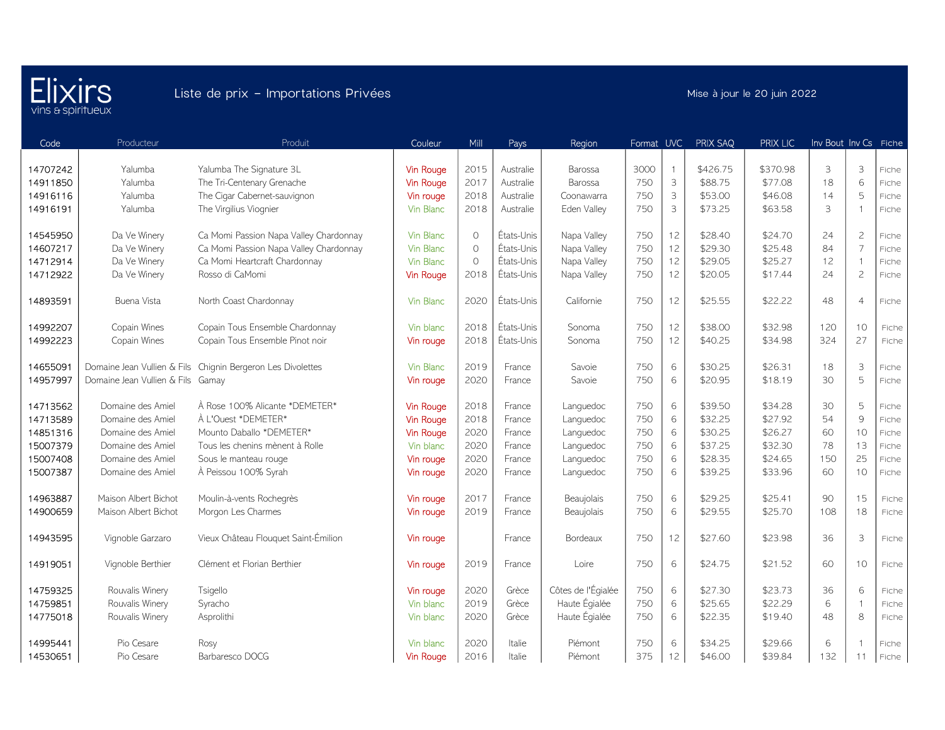

| Code     | Producteur                  | Produit                                | Couleur          | Mill    | Pays       | Region             | Format UVC |                           | PRIX SAQ | <b>PRIX LIC</b> | Inv Bout Inv Cs Fiche |                |       |
|----------|-----------------------------|----------------------------------------|------------------|---------|------------|--------------------|------------|---------------------------|----------|-----------------|-----------------------|----------------|-------|
|          |                             |                                        |                  |         |            |                    |            |                           |          |                 |                       |                |       |
| 14707242 | Yalumba                     | Yalumba The Signature 3L               | <b>Vin Rouge</b> | 2015    | Australie  | Barossa            | 3000       | $\overline{1}$            | \$426.75 | \$370.98        | 3                     | 3              | Fiche |
| 14911850 | Yalumba                     | The Tri-Centenary Grenache             | Vin Rouge        | 2017    | Australie  | Barossa            | 750        | $\ensuremath{\mathsf{3}}$ | \$88.75  | \$77.08         | 18                    | 6              | Fiche |
| 14916116 | Yalumba                     | The Cigar Cabernet-sauvignon           | Vin rouge        | 2018    | Australie  | Coonawarra         | 750        | $\mathsf{3}$              | \$53.00  | \$46.08         | 14                    | 5              | Fiche |
| 14916191 | Yalumba                     | The Virgilius Viognier                 | Vin Blanc        | 2018    | Australie  | Eden Valley        | 750        | 3                         | \$73.25  | \$63.58         | 3                     |                | Fiche |
| 14545950 | Da Ve Winery                | Ca Momi Passion Napa Valley Chardonnay | Vin Blanc        | $\circ$ | États-Unis | Napa Valley        | 750        | 12                        | \$28.40  | \$24.70         | 24                    | $\overline{c}$ | Fiche |
| 14607217 | Da Ve Winery                | Ca Momi Passion Napa Valley Chardonnay | Vin Blanc        | $\circ$ | États-Unis | Napa Valley        | 750        | 12                        | \$29.30  | \$25.48         | 84                    | $\overline{7}$ | Fiche |
| 14712914 | Da Ve Winery                | Ca Momi Heartcraft Chardonnay          | Vin Blanc        | $\circ$ | États-Unis | Napa Valley        | 750        | 12                        | \$29.05  | \$25.27         | 12                    | ÷              | Fiche |
| 14712922 | Da Ve Winery                | Rosso di CaMomi                        | Vin Rouge        | 2018    | États-Unis | Napa Valley        | 750        | 12                        | \$20.05  | \$17.44         | 24                    | $\overline{c}$ | Fiche |
| 14893591 | Buena Vista                 | North Coast Chardonnay                 | Vin Blanc        | 2020    | États-Unis | Californie         | 750        | 12                        | \$25.55  | \$22.22         | 48                    | $\overline{4}$ | Fiche |
| 14992207 | Copain Wines                | Copain Tous Ensemble Chardonnay        | Vin blanc        | 2018    | États-Unis | Sonoma             | 750        | 12                        | \$38.00  | \$32.98         | 120                   | 10             | Fiche |
| 14992223 | Copain Wines                | Copain Tous Ensemble Pinot noir        | Vin rouge        | 2018    | États-Unis | Sonoma             | 750        | 12                        | \$40.25  | \$34.98         | 324                   | 27             | Fiche |
| 14655091 | Domaine Jean Vullien & Fils | Chignin Bergeron Les Divolettes        | Vin Blanc        | 2019    | France     | Savoie             | 750        | 6                         | \$30.25  | \$26.31         | 18                    | 3              | Fiche |
| 14957997 | Domaine Jean Vullien & Fils | Gamay                                  | Vin rouge        | 2020    | France     | Savoie             | 750        | 6                         | \$20.95  | \$18.19         | 30                    | $\overline{5}$ | Fiche |
| 14713562 | Domaine des Amiel           | À Rose 100% Alicante *DEMETER*         | <b>Vin Rouge</b> | 2018    | France     | Languedoc          | 750        | 6                         | \$39.50  | \$34.28         | 30                    | 5              | Fiche |
| 14713589 | Domaine des Amiel           | À L'Ouest *DEMETER*                    | <b>Vin Rouge</b> | 2018    | France     | Languedoc          | 750        | 6                         | \$32.25  | \$27.92         | 54                    | $\mathcal{Q}$  | Fiche |
| 14851316 | Domaine des Amiel           | Mounto Daballo *DEMETER*               | <b>Vin Rouge</b> | 2020    | France     | Languedoc          | 750        | $\,$ 6 $\,$               | \$30.25  | \$26.27         | 60                    | 10             | Fiche |
| 15007379 | Domaine des Amiel           | Tous les chenins mènent à Rolle        | Vin blanc        | 2020    | France     | Languedoc          | 750        | $\,$ 6 $\,$               | \$37.25  | \$32.30         | 78                    | 13             | Fiche |
| 15007408 | Domaine des Amiel           | Sous le manteau rouge                  | Vin rouge        | 2020    | France     | Languedoc          | 750        | 6                         | \$28.35  | \$24.65         | 150                   | 25             | Fiche |
| 15007387 | Domaine des Amiel           | À Peissou 100% Syrah                   | Vin rouge        | 2020    | France     | Languedoc          | 750        | 6                         | \$39.25  | \$33.96         | 60                    | 10             | Fiche |
| 14963887 | Maison Albert Bichot        | Moulin-à-vents Rochegrès               | Vin rouge        | 2017    | France     | Beaujolais         | 750        | 6                         | \$29.25  | \$25.41         | 90                    | 15             | Fiche |
| 14900659 | Maison Albert Bichot        | Morgon Les Charmes                     | Vin rouge        | 2019    | France     | Beaujolais         | 750        | 6                         | \$29.55  | \$25.70         | 108                   | 18             | Fiche |
| 14943595 | Vignoble Garzaro            | Vieux Château Flouquet Saint-Émilion   | Vin rouge        |         | France     | Bordeaux           | 750        | 12                        | \$27.60  | \$23.98         | 36                    | 3              | Fiche |
| 14919051 | Vignoble Berthier           | Clément et Florian Berthier            | Vin rouge        | 2019    | France     | Loire              | 750        | 6                         | \$24.75  | \$21.52         | 60                    | 10             | Fiche |
| 14759325 | Rouvalis Winery             | Tsigello                               | Vin rouge        | 2020    | Grèce      | Côtes de l'Égialée | 750        | 6                         | \$27.30  | \$23.73         | 36                    | 6              | Fiche |
| 14759851 | Rouvalis Winery             | Syracho                                | Vin blanc        | 2019    | Grèce      | Haute Égialée      | 750        | 6                         | \$25.65  | \$22.29         | 6                     | $\overline{1}$ | Fiche |
| 14775018 | Rouvalis Winery             | Asprolithi                             | Vin blanc        | 2020    | Grèce      | Haute Égialée      | 750        | 6                         | \$22.35  | \$19.40         | 48                    | 8              | Fiche |
| 14995441 | Pio Cesare                  | Rosy                                   | Vin blanc        | 2020    | Italie     | Piémont            | 750        | 6                         | \$34.25  | \$29.66         | 6                     |                | Fiche |
| 14530651 | Pio Cesare                  | Barbaresco DOCG                        | <b>Vin Rouge</b> | 2016    | Italie     | Piémont            | 375        | 12                        | \$46.00  | \$39.84         | 132                   | 11             | Fiche |